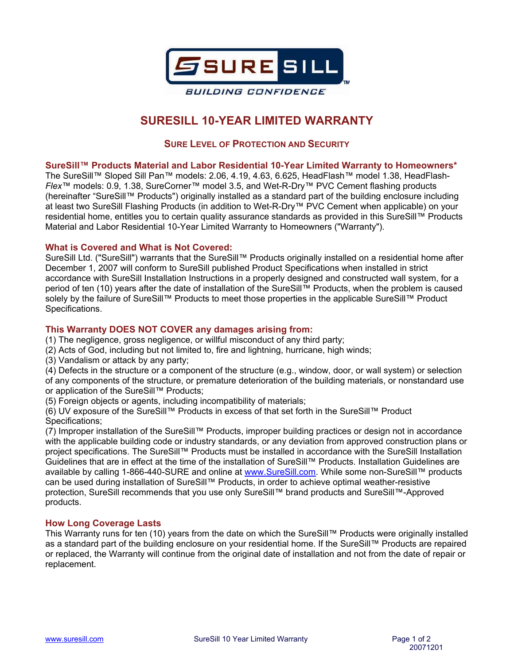

# **SURESILL 10-YEAR LIMITED WARRANTY**

# **SURE LEVEL OF PROTECTION AND SECURITY**

**SureSill™ Products Material and Labor Residential 10-Year Limited Warranty to Homeowners\*** 

The SureSill™ Sloped Sill Pan™ models: 2.06, 4.19, 4.63, 6.625, HeadFlash™ model 1.38, HeadFlash-*Flex*™ models: 0.9, 1.38, SureCorner™ model 3.5, and Wet-R-Dry™ PVC Cement flashing products (hereinafter "SureSill™ Products") originally installed as a standard part of the building enclosure including at least two SureSill Flashing Products (in addition to Wet-R-Dry™ PVC Cement when applicable) on your residential home, entitles you to certain quality assurance standards as provided in this SureSill™ Products Material and Labor Residential 10-Year Limited Warranty to Homeowners ("Warranty").

# **What is Covered and What is Not Covered:**

SureSill Ltd. ("SureSill") warrants that the SureSill™ Products originally installed on a residential home after December 1, 2007 will conform to SureSill published Product Specifications when installed in strict accordance with SureSill Installation Instructions in a properly designed and constructed wall system, for a period of ten (10) years after the date of installation of the SureSill™ Products, when the problem is caused solely by the failure of SureSill™ Products to meet those properties in the applicable SureSill™ Product Specifications.

# **This Warranty DOES NOT COVER any damages arising from:**

- (1) The negligence, gross negligence, or willful misconduct of any third party;
- (2) Acts of God, including but not limited to, fire and lightning, hurricane, high winds;
- (3) Vandalism or attack by any party;

(4) Defects in the structure or a component of the structure (e.g., window, door, or wall system) or selection of any components of the structure, or premature deterioration of the building materials, or nonstandard use or application of the SureSill™ Products;

(5) Foreign objects or agents, including incompatibility of materials;

(6) UV exposure of the SureSill™ Products in excess of that set forth in the SureSill™ Product Specifications;

(7) Improper installation of the SureSill™ Products, improper building practices or design not in accordance with the applicable building code or industry standards, or any deviation from approved construction plans or project specifications. The SureSill™ Products must be installed in accordance with the SureSill Installation Guidelines that are in effect at the time of the installation of SureSill™ Products. Installation Guidelines are available by calling 1-866-440-SURE and online at www.SureSill.com. While some non-SureSill™ products can be used during installation of SureSill™ Products, in order to achieve optimal weather-resistive protection, SureSill recommends that you use only SureSill™ brand products and SureSill™-Approved products.

# **How Long Coverage Lasts**

This Warranty runs for ten (10) years from the date on which the SureSill™ Products were originally installed as a standard part of the building enclosure on your residential home. If the SureSill™ Products are repaired or replaced, the Warranty will continue from the original date of installation and not from the date of repair or replacement.